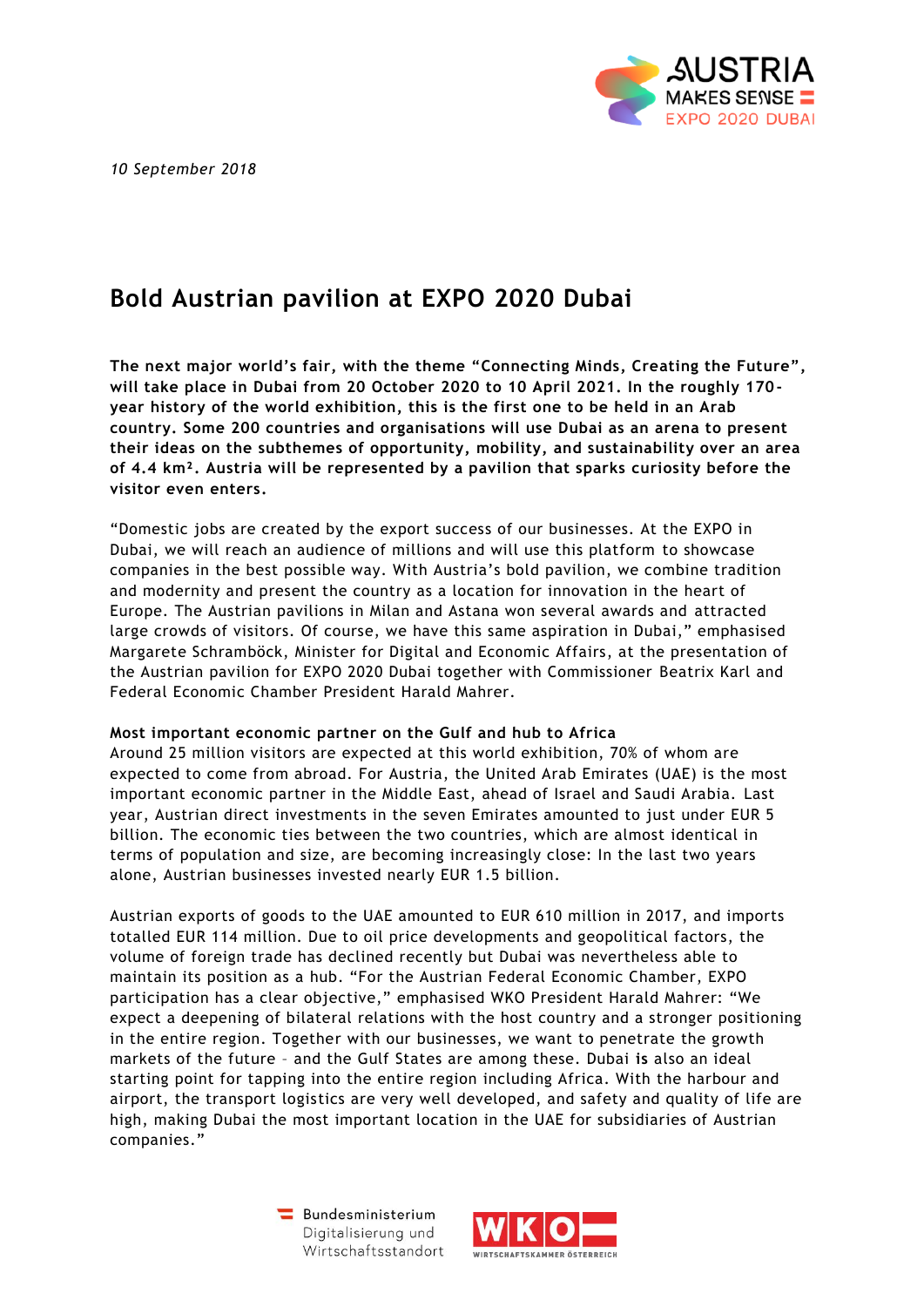*10 September 2018*



# **Bold Austrian pavilion at EXPO 2020 Dubai**

**The next major world's fair, with the theme "Connecting Minds, Creating the Future", will take place in Dubai from 20 October 2020 to 10 April 2021. In the roughly 170 year history of the world exhibition, this is the first one to be held in an Arab country. Some 200 countries and organisations will use Dubai as an arena to present their ideas on the subthemes of opportunity, mobility, and sustainability over an area of 4.4 km². Austria will be represented by a pavilion that sparks curiosity before the visitor even enters.**

"Domestic jobs are created by the export success of our businesses. At the EXPO in Dubai, we will reach an audience of millions and will use this platform to showcase companies in the best possible way. With Austria's bold pavilion, we combine tradition and modernity and present the country as a location for innovation in the heart of Europe. The Austrian pavilions in Milan and Astana won several awards and attracted large crowds of visitors. Of course, we have this same aspiration in Dubai," emphasised Margarete Schramböck, Minister for Digital and Economic Affairs, at the presentation of the Austrian pavilion for EXPO 2020 Dubai together with Commissioner Beatrix Karl and Federal Economic Chamber President Harald Mahrer.

# **Most important economic partner on the Gulf and hub to Africa**

Around 25 million visitors are expected at this world exhibition, 70% of whom are expected to come from abroad. For Austria, the United Arab Emirates (UAE) is the most important economic partner in the Middle East, ahead of Israel and Saudi Arabia. Last year, Austrian direct investments in the seven Emirates amounted to just under EUR 5 billion. The economic ties between the two countries, which are almost identical in terms of population and size, are becoming increasingly close: In the last two years alone, Austrian businesses invested nearly EUR 1.5 billion.

Austrian exports of goods to the UAE amounted to EUR 610 million in 2017, and imports totalled EUR 114 million. Due to oil price developments and geopolitical factors, the volume of foreign trade has declined recently but Dubai was nevertheless able to maintain its position as a hub. "For the Austrian Federal Economic Chamber, EXPO participation has a clear objective," emphasised WKO President Harald Mahrer: "We expect a deepening of bilateral relations with the host country and a stronger positioning in the entire region. Together with our businesses, we want to penetrate the growth markets of the future – and the Gulf States are among these. Dubai **is** also an ideal starting point for tapping into the entire region including Africa. With the harbour and airport, the transport logistics are very well developed, and safety and quality of life are high, making Dubai the most important location in the UAE for subsidiaries of Austrian companies."

> Bundesministerium Digitalisierung und Wirtschaftsstandort

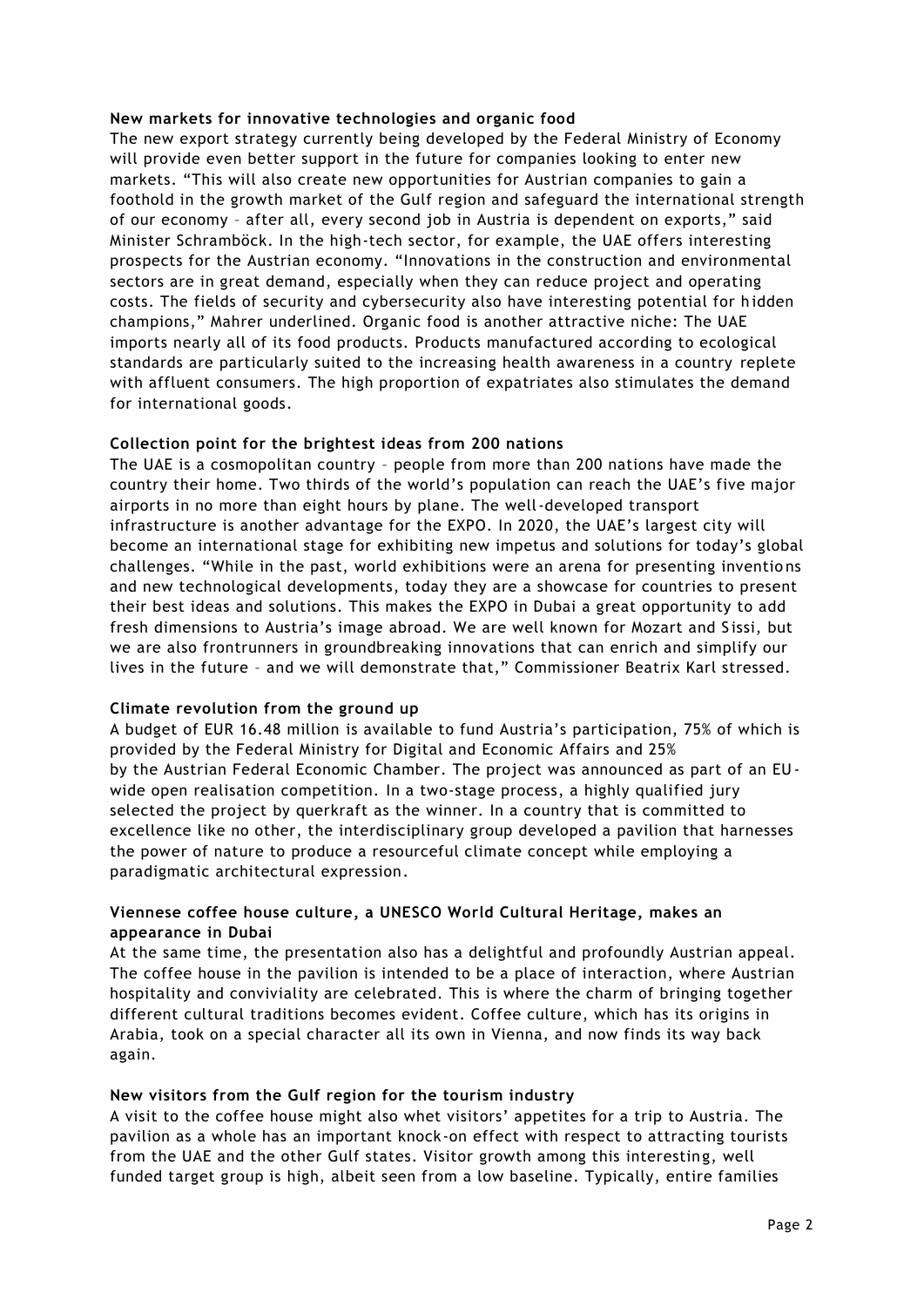# **New markets for innovative technologies and organic food**

The new export strategy currently being developed by the Federal Ministry of Economy will provide even better support in the future for companies looking to enter new markets. "This will also create new opportunities for Austrian companies to gain a foothold in the growth market of the Gulf region and safeguard the international strength of our economy – after all, every second job in Austria is dependent on exports," said Minister Schramböck. In the high-tech sector, for example, the UAE offers interesting prospects for the Austrian economy. "Innovations in the construction and environmental sectors are in great demand, especially when they can reduce project and operating costs. The fields of security and cybersecurity also have interesting potential for h idden champions," Mahrer underlined. Organic food is another attractive niche: The UAE imports nearly all of its food products. Products manufactured according to ecological standards are particularly suited to the increasing health awareness in a country replete with affluent consumers. The high proportion of expatriates also stimulates the demand for international goods.

# **Collection point for the brightest ideas from 200 nations**

The UAE is a cosmopolitan country – people from more than 200 nations have made the country their home. Two thirds of the world's population can reach the UAE's five major airports in no more than eight hours by plane. The well-developed transport infrastructure is another advantage for the EXPO. In 2020, the UAE's largest city will become an international stage for exhibiting new impetus and solutions for today's global challenges. "While in the past, world exhibitions were an arena for presenting inventio ns and new technological developments, today they are a showcase for countries to present their best ideas and solutions. This makes the EXPO in Dubai a great opportunity to add fresh dimensions to Austria's image abroad. We are well known for Mozart and S issi, but we are also frontrunners in groundbreaking innovations that can enrich and simplify our lives in the future – and we will demonstrate that," Commissioner Beatrix Karl stressed.

# **Climate revolution from the ground up**

A budget of EUR 16.48 million is available to fund Austria's participation, 75% of which is provided by the Federal Ministry for Digital and Economic Affairs and 25% by the Austrian Federal Economic Chamber. The project was announced as part of an EU wide open realisation competition. In a two-stage process, a highly qualified jury selected the project by querkraft as the winner. In a country that is committed to excellence like no other, the interdisciplinary group developed a pavilion that harnesses the power of nature to produce a resourceful climate concept while employing a paradigmatic architectural expression.

# **Viennese coffee house culture, a UNESCO World Cultural Heritage, makes an appearance in Dubai**

At the same time, the presentation also has a delightful and profoundly Austrian appeal. The coffee house in the pavilion is intended to be a place of interaction, where Austrian hospitality and conviviality are celebrated. This is where the charm of bringing together different cultural traditions becomes evident. Coffee culture, which has its origins in Arabia, took on a special character all its own in Vienna, and now finds its way back again.

# **New visitors from the Gulf region for the tourism industry**

A visit to the coffee house might also whet visitors' appetites for a trip to Austria. The pavilion as a whole has an important knock-on effect with respect to attracting tourists from the UAE and the other Gulf states. Visitor growth among this interesting, well funded target group is high, albeit seen from a low baseline. Typically, entire families